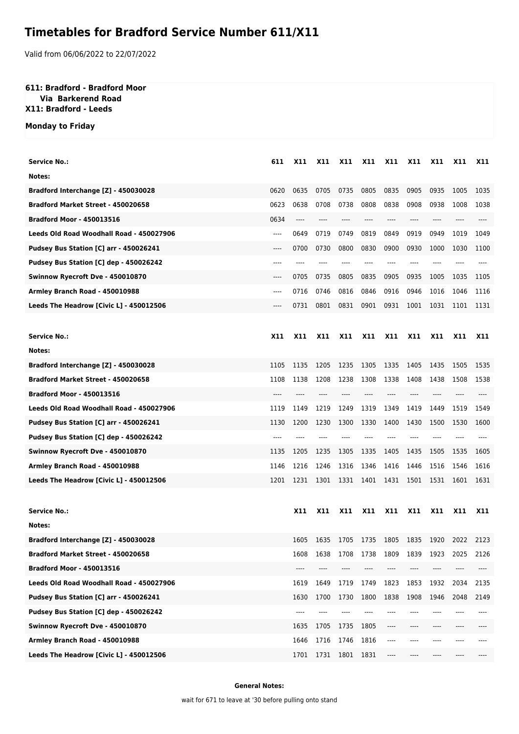## **Timetables for Bradford Service Number 611/X11**

Valid from 06/06/2022 to 22/07/2022

## **611: Bradford - Bradford Moor**

 **Via Barkerend Road X11: Bradford - Leeds**

**Monday to Friday**

| Service No.:                             | 611        | X11        | <b>X11</b>     | <b>X11</b> | X11        | X11     | X11        | X11        | <b>X11</b> | <b>X11</b> |
|------------------------------------------|------------|------------|----------------|------------|------------|---------|------------|------------|------------|------------|
| Notes:                                   |            |            |                |            |            |         |            |            |            |            |
| Bradford Interchange [Z] - 450030028     | 0620       | 0635       | 0705           | 0735       | 0805       | 0835    | 0905       | 0935       | 1005       | 1035       |
| Bradford Market Street - 450020658       | 0623       | 0638       | 0708           | 0738       | 0808       | 0838    | 0908       | 0938       | 1008       | 1038       |
| <b>Bradford Moor - 450013516</b>         | 0634       | ----       |                |            |            |         |            |            |            |            |
| Leeds Old Road Woodhall Road - 450027906 | ----       | 0649       | 0719           | 0749       | 0819       | 0849    | 0919       | 0949       | 1019       | 1049       |
| Pudsey Bus Station [C] arr - 450026241   | ----       | 0700       | 0730           | 0800       | 0830       | 0900    | 0930       | 1000       | 1030       | 1100       |
| Pudsey Bus Station [C] dep - 450026242   | ----       |            |                |            |            | ----    |            |            |            |            |
| Swinnow Ryecroft Dve - 450010870         | ----       | 0705       | 0735           | 0805       | 0835       | 0905    | 0935       | 1005       | 1035       | 1105       |
| Armley Branch Road - 450010988           | ----       | 0716       | 0746           | 0816       | 0846       | 0916    | 0946       | 1016       | 1046       | 1116       |
| Leeds The Headrow [Civic L] - 450012506  | ----       | 0731       | 0801           | 0831       | 0901       | 0931    | 1001       | 1031       | 1101       | 1131       |
|                                          |            |            |                |            |            |         |            |            |            |            |
| <b>Service No.:</b>                      | <b>X11</b> | X11        | X11            | X11        | X11        | X11     | X11        | <b>X11</b> | <b>X11</b> | <b>X11</b> |
| Notes:                                   |            |            |                |            |            |         |            |            |            |            |
| Bradford Interchange [Z] - 450030028     | 1105       | 1135       | 1205           | 1235       | 1305       | 1335    | 1405       | 1435       | 1505       | 1535       |
| Bradford Market Street - 450020658       | 1108       | 1138       | 1208           | 1238       | 1308       | 1338    | 1408       | 1438       | 1508       | 1538       |
| <b>Bradford Moor - 450013516</b>         | ----       |            |                |            |            |         |            |            |            |            |
| Leeds Old Road Woodhall Road - 450027906 | 1119       | 1149       | 1219           | 1249       | 1319       | 1349    | 1419       | 1449       | 1519       | 1549       |
| Pudsey Bus Station [C] arr - 450026241   | 1130       | 1200       | 1230           | 1300       | 1330       | 1400    | 1430       | 1500       | 1530       | 1600       |
| Pudsey Bus Station [C] dep - 450026242   | ----       |            |                |            |            |         |            |            |            |            |
| Swinnow Ryecroft Dve - 450010870         | 1135       | 1205       | 1235           | 1305       | 1335       | 1405    | 1435       | 1505       | 1535       | 1605       |
| Armley Branch Road - 450010988           | 1146       | 1216       | 1246           | 1316       | 1346       | 1416    | 1446       | 1516       | 1546       | 1616       |
| Leeds The Headrow [Civic L] - 450012506  | 1201       | 1231       | 1301           | 1331       | 1401       | 1431    | 1501       | 1531       | 1601       | 1631       |
|                                          |            |            |                |            |            |         |            |            |            |            |
| Service No.:                             |            | <b>X11</b> | <b>X11</b>     | <b>X11</b> | <b>X11</b> | X11     | <b>X11</b> | <b>X11</b> | <b>X11</b> | X11        |
| Notes:                                   |            |            |                |            |            |         |            |            |            |            |
| Bradford Interchange [Z] - 450030028     |            | 1605       | 1635           | 1705       | 1735       | 1805    | 1835       | 1920       | 2022       | 2123       |
| Bradford Market Street - 450020658       |            | 1608       | 1638           | 1708       | 1738       | 1809    | 1839       | 1923       | 2025       | 2126       |
| <b>Bradford Moor - 450013516</b>         |            | ----       |                |            |            | ----    |            |            |            |            |
| Leeds Old Road Woodhall Road - 450027906 |            | 1619       | 1649           | 1719       | 1749       | 1823    | 1853       | 1932       | 2034       | 2135       |
| Pudsey Bus Station [C] arr - 450026241   |            | 1630       | 1700           | 1730       | 1800       | 1838    | 1908       | 1946       | 2048       | 2149       |
| Pudsey Bus Station [C] dep - 450026242   |            |            |                |            |            |         |            |            |            |            |
| Swinnow Ryecroft Dve - 450010870         |            | 1635       | 1705           | 1735       | 1805       | ----    | ----       | ----       | ----       |            |
| Armley Branch Road - 450010988           |            | 1646       | 1716           | 1746       | 1816       | $-----$ |            |            |            |            |
| Leeds The Headrow [Civic L] - 450012506  |            |            | 1701 1731 1801 |            | 1831       | ----    | ----       | ----       |            |            |

**General Notes:**